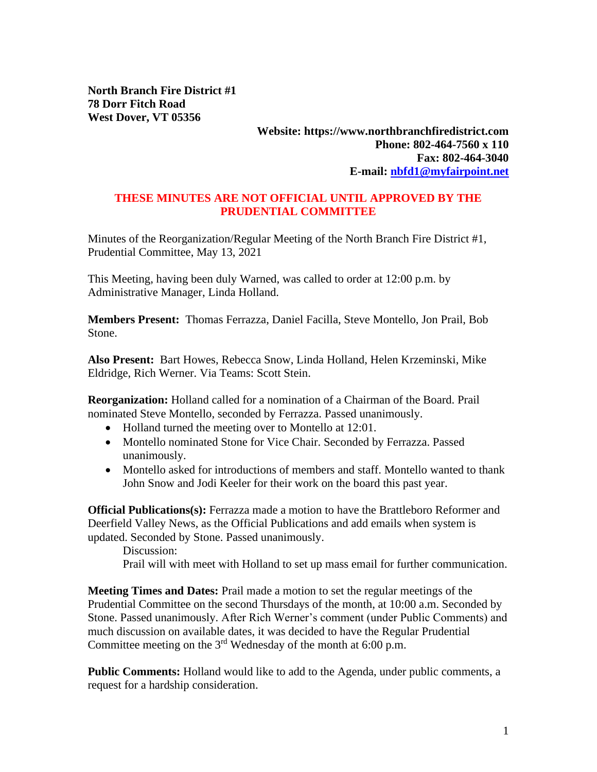**North Branch Fire District #1 78 Dorr Fitch Road West Dover, VT 05356**

## **Website: https://www.northbranchfiredistrict.com Phone: 802-464-7560 x 110 Fax: 802-464-3040 E-mail: [nbfd1@myfairpoint.net](mailto:nbfd1@myfairpoint.net)**

## **THESE MINUTES ARE NOT OFFICIAL UNTIL APPROVED BY THE PRUDENTIAL COMMITTEE**

Minutes of the Reorganization/Regular Meeting of the North Branch Fire District #1, Prudential Committee, May 13, 2021

This Meeting, having been duly Warned, was called to order at 12:00 p.m. by Administrative Manager, Linda Holland.

**Members Present:** Thomas Ferrazza, Daniel Facilla, Steve Montello, Jon Prail, Bob Stone.

**Also Present:** Bart Howes, Rebecca Snow, Linda Holland, Helen Krzeminski, Mike Eldridge, Rich Werner. Via Teams: Scott Stein.

**Reorganization:** Holland called for a nomination of a Chairman of the Board. Prail nominated Steve Montello, seconded by Ferrazza. Passed unanimously.

- Holland turned the meeting over to Montello at 12:01.
- Montello nominated Stone for Vice Chair. Seconded by Ferrazza. Passed unanimously.
- Montello asked for introductions of members and staff. Montello wanted to thank John Snow and Jodi Keeler for their work on the board this past year.

**Official Publications(s):** Ferrazza made a motion to have the Brattleboro Reformer and Deerfield Valley News, as the Official Publications and add emails when system is updated. Seconded by Stone. Passed unanimously.

Discussion:

Prail will with meet with Holland to set up mass email for further communication.

**Meeting Times and Dates:** Prail made a motion to set the regular meetings of the Prudential Committee on the second Thursdays of the month, at 10:00 a.m. Seconded by Stone. Passed unanimously. After Rich Werner's comment (under Public Comments) and much discussion on available dates, it was decided to have the Regular Prudential Committee meeting on the  $3<sup>rd</sup>$  Wednesday of the month at 6:00 p.m.

**Public Comments:** Holland would like to add to the Agenda, under public comments, a request for a hardship consideration.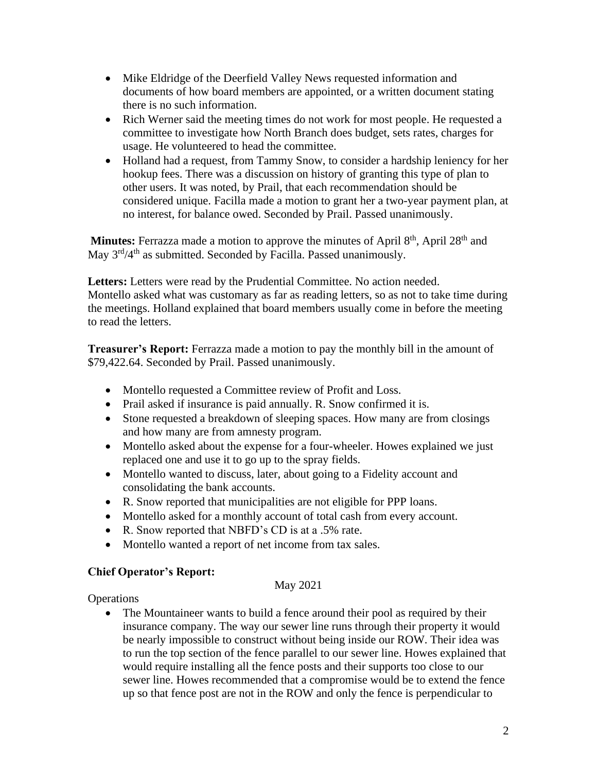- Mike Eldridge of the Deerfield Valley News requested information and documents of how board members are appointed, or a written document stating there is no such information.
- Rich Werner said the meeting times do not work for most people. He requested a committee to investigate how North Branch does budget, sets rates, charges for usage. He volunteered to head the committee.
- Holland had a request, from Tammy Snow, to consider a hardship leniency for her hookup fees. There was a discussion on history of granting this type of plan to other users. It was noted, by Prail, that each recommendation should be considered unique. Facilla made a motion to grant her a two-year payment plan, at no interest, for balance owed. Seconded by Prail. Passed unanimously.

**Minutes:** Ferrazza made a motion to approve the minutes of April 8<sup>th</sup>, April 28<sup>th</sup> and May 3<sup>rd</sup>/4<sup>th</sup> as submitted. Seconded by Facilla. Passed unanimously.

**Letters:** Letters were read by the Prudential Committee. No action needed. Montello asked what was customary as far as reading letters, so as not to take time during the meetings. Holland explained that board members usually come in before the meeting to read the letters.

**Treasurer's Report:** Ferrazza made a motion to pay the monthly bill in the amount of \$79,422.64. Seconded by Prail. Passed unanimously.

- Montello requested a Committee review of Profit and Loss.
- Prail asked if insurance is paid annually. R. Snow confirmed it is.
- Stone requested a breakdown of sleeping spaces. How many are from closings and how many are from amnesty program.
- Montello asked about the expense for a four-wheeler. Howes explained we just replaced one and use it to go up to the spray fields.
- Montello wanted to discuss, later, about going to a Fidelity account and consolidating the bank accounts.
- R. Snow reported that municipalities are not eligible for PPP loans.
- Montello asked for a monthly account of total cash from every account.
- R. Snow reported that NBFD's CD is at a .5% rate.
- Montello wanted a report of net income from tax sales.

## **Chief Operator's Report:**

## May 2021

**Operations** 

• The Mountaineer wants to build a fence around their pool as required by their insurance company. The way our sewer line runs through their property it would be nearly impossible to construct without being inside our ROW. Their idea was to run the top section of the fence parallel to our sewer line. Howes explained that would require installing all the fence posts and their supports too close to our sewer line. Howes recommended that a compromise would be to extend the fence up so that fence post are not in the ROW and only the fence is perpendicular to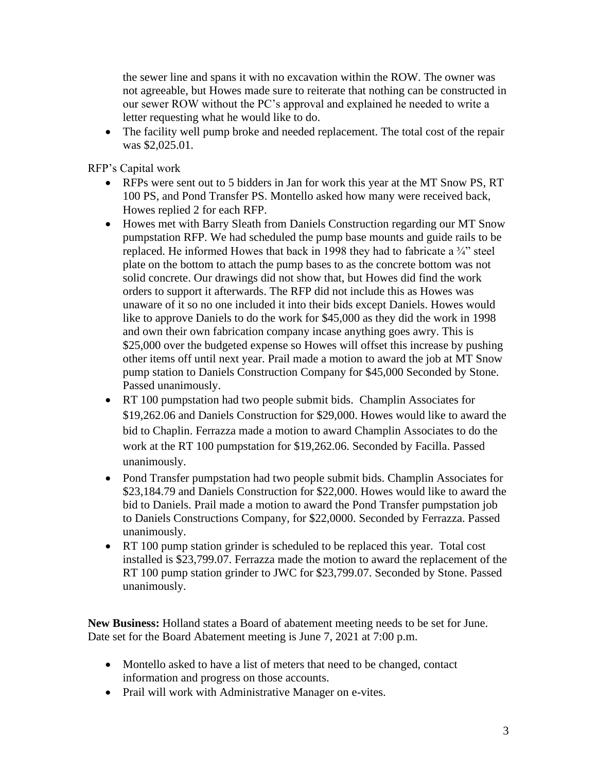the sewer line and spans it with no excavation within the ROW. The owner was not agreeable, but Howes made sure to reiterate that nothing can be constructed in our sewer ROW without the PC's approval and explained he needed to write a letter requesting what he would like to do.

• The facility well pump broke and needed replacement. The total cost of the repair was \$2,025.01.

RFP's Capital work

- RFPs were sent out to 5 bidders in Jan for work this year at the MT Snow PS, RT 100 PS, and Pond Transfer PS. Montello asked how many were received back, Howes replied 2 for each RFP.
- Howes met with Barry Sleath from Daniels Construction regarding our MT Snow pumpstation RFP. We had scheduled the pump base mounts and guide rails to be replaced. He informed Howes that back in 1998 they had to fabricate a ¾" steel plate on the bottom to attach the pump bases to as the concrete bottom was not solid concrete. Our drawings did not show that, but Howes did find the work orders to support it afterwards. The RFP did not include this as Howes was unaware of it so no one included it into their bids except Daniels. Howes would like to approve Daniels to do the work for \$45,000 as they did the work in 1998 and own their own fabrication company incase anything goes awry. This is \$25,000 over the budgeted expense so Howes will offset this increase by pushing other items off until next year. Prail made a motion to award the job at MT Snow pump station to Daniels Construction Company for \$45,000 Seconded by Stone. Passed unanimously.
- RT 100 pumpstation had two people submit bids. Champlin Associates for \$19,262.06 and Daniels Construction for \$29,000. Howes would like to award the bid to Chaplin. Ferrazza made a motion to award Champlin Associates to do the work at the RT 100 pumpstation for \$19,262.06. Seconded by Facilla. Passed unanimously.
- Pond Transfer pumpstation had two people submit bids. Champlin Associates for \$23,184.79 and Daniels Construction for \$22,000. Howes would like to award the bid to Daniels. Prail made a motion to award the Pond Transfer pumpstation job to Daniels Constructions Company, for \$22,0000. Seconded by Ferrazza. Passed unanimously.
- RT 100 pump station grinder is scheduled to be replaced this year. Total cost installed is \$23,799.07. Ferrazza made the motion to award the replacement of the RT 100 pump station grinder to JWC for \$23,799.07. Seconded by Stone. Passed unanimously.

**New Business:** Holland states a Board of abatement meeting needs to be set for June. Date set for the Board Abatement meeting is June 7, 2021 at 7:00 p.m.

- Montello asked to have a list of meters that need to be changed, contact information and progress on those accounts.
- Prail will work with Administrative Manager on e-vites.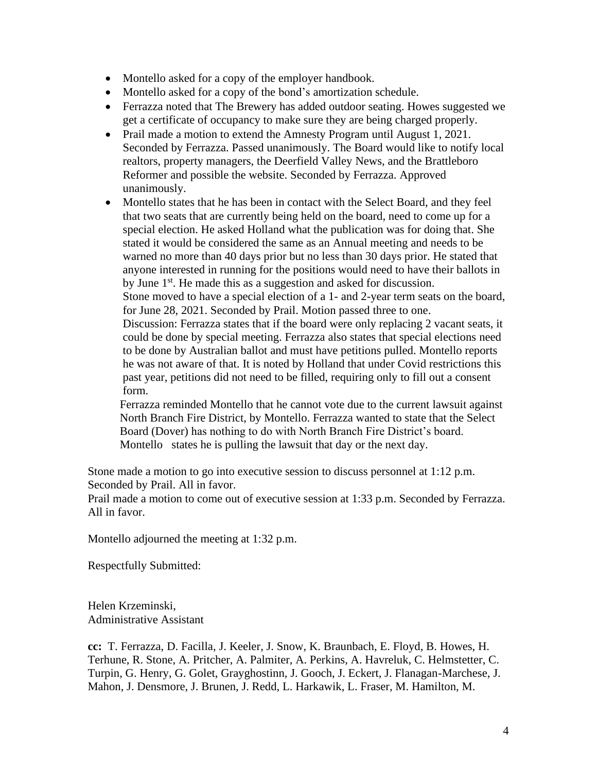- Montello asked for a copy of the employer handbook.
- Montello asked for a copy of the bond's amortization schedule.
- Ferrazza noted that The Brewery has added outdoor seating. Howes suggested we get a certificate of occupancy to make sure they are being charged properly.
- Prail made a motion to extend the Amnesty Program until August 1, 2021. Seconded by Ferrazza. Passed unanimously. The Board would like to notify local realtors, property managers, the Deerfield Valley News, and the Brattleboro Reformer and possible the website. Seconded by Ferrazza. Approved unanimously.
- Montello states that he has been in contact with the Select Board, and they feel that two seats that are currently being held on the board, need to come up for a special election. He asked Holland what the publication was for doing that. She stated it would be considered the same as an Annual meeting and needs to be warned no more than 40 days prior but no less than 30 days prior. He stated that anyone interested in running for the positions would need to have their ballots in by June 1<sup>st</sup>. He made this as a suggestion and asked for discussion.

Stone moved to have a special election of a 1- and 2-year term seats on the board, for June 28, 2021. Seconded by Prail. Motion passed three to one.

Discussion: Ferrazza states that if the board were only replacing 2 vacant seats, it could be done by special meeting. Ferrazza also states that special elections need to be done by Australian ballot and must have petitions pulled. Montello reports he was not aware of that. It is noted by Holland that under Covid restrictions this past year, petitions did not need to be filled, requiring only to fill out a consent form.

 Ferrazza reminded Montello that he cannot vote due to the current lawsuit against North Branch Fire District, by Montello. Ferrazza wanted to state that the Select Board (Dover) has nothing to do with North Branch Fire District's board. Montello states he is pulling the lawsuit that day or the next day.

Stone made a motion to go into executive session to discuss personnel at 1:12 p.m. Seconded by Prail. All in favor.

Prail made a motion to come out of executive session at 1:33 p.m. Seconded by Ferrazza. All in favor.

Montello adjourned the meeting at 1:32 p.m.

Respectfully Submitted:

Helen Krzeminski, Administrative Assistant

**cc:** T. Ferrazza, D. Facilla, J. Keeler, J. Snow, K. Braunbach, E. Floyd, B. Howes, H. Terhune, R. Stone, A. Pritcher, A. Palmiter, A. Perkins, A. Havreluk, C. Helmstetter, C. Turpin, G. Henry, G. Golet, Grayghostinn, J. Gooch, J. Eckert, J. Flanagan-Marchese, J. Mahon, J. Densmore, J. Brunen, J. Redd, L. Harkawik, L. Fraser, M. Hamilton, M.